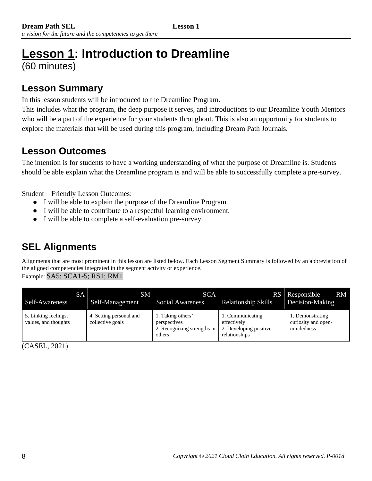# **Lesson 1: Introduction to Dreamline**  (60 minutes)

## **Lesson Summary**

In this lesson students will be introduced to the Dreamline Program.

This includes what the program, the deep purpose it serves, and introductions to our Dreamline Youth Mentors who will be a part of the experience for your students throughout. This is also an opportunity for students to explore the materials that will be used during this program, including Dream Path Journals.

### **Lesson Outcomes**

The intention is for students to have a working understanding of what the purpose of Dreamline is. Students should be able explain what the Dreamline program is and will be able to successfully complete a pre-survey.

Student – Friendly Lesson Outcomes:

- I will be able to explain the purpose of the Dreamline Program.
- I will be able to contribute to a respectful learning environment.
- I will be able to complete a self-evaluation pre-survey.

# **SEL Alignments**

Alignments that are most prominent in this lesson are listed below. Each Lesson Segment Summary is followed by an abbreviation of the aligned competencies integrated in the segment activity or experience. Example: SA5; SCA1-5; RS1; RM1

| Self-Awareness                               | SM<br><b>SA</b><br>Self-Management          | SCA I<br><b>Social Awareness</b>                                           | <b>Relationship Skills</b>                                                 | RS Responsible<br><b>RM</b><br>Decision-Making        |
|----------------------------------------------|---------------------------------------------|----------------------------------------------------------------------------|----------------------------------------------------------------------------|-------------------------------------------------------|
| 5. Linking feelings,<br>values, and thoughts | 4. Setting personal and<br>collective goals | 1. Taking others'<br>perspectives<br>2. Recognizing strengths in<br>others | 1. Communicating<br>effectively<br>2. Developing positive<br>relationships | 1. Demonstrating<br>curiosity and open-<br>mindedness |

(CASEL, 2021)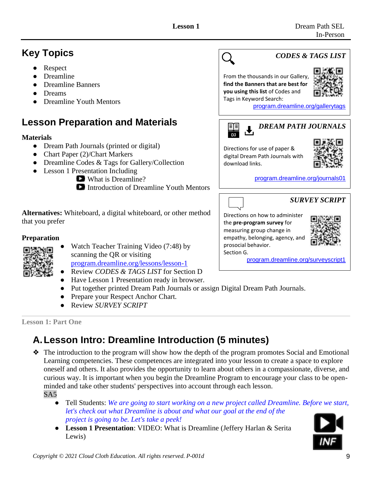# **Key Topics**

- **Respect**
- **Dreamline**
- Dreamline Banners
- **Dreams**
- Dreamline Youth Mentors

# **Lesson Preparation and Materials**

#### **Materials**

- Dream Path Journals (printed or digital)
- Chart Paper (2)/Chart Markers
- Dreamline Codes & Tags for Gallery/Collection
- Lesson 1 Presentation Including



Introduction of Dreamline Youth Mentors

**Alternatives:** Whiteboard, a digital whiteboard, or other method that you prefer

#### **Preparation**



- Watch Teacher Training Video (7:48) by scanning the QR or visiting [program.dreamline.org/lessons/lesson-1](https://program.dreamline.org/lessons/lesson-1/)
- Review *CODES & TAGS LIST* for Section D
- Have Lesson 1 Presentation ready in browser.
- Put together printed Dream Path Journals or assign Digital Dream Path Journals.

Section G.

- Prepare your Respect Anchor Chart.
- Review *SURVEY SCRIPT*

**Lesson 1: Part One**

# **A.Lesson Intro: Dreamline Introduction (5 minutes)**

- ❖ The introduction to the program will show how the depth of the program promotes Social and Emotional Learning competencies. These competences are integrated into your lesson to create a space to explore oneself and others. It also provides the opportunity to learn about others in a compassionate, diverse, and curious way. It is important when you begin the Dreamline Program to encourage your class to be openminded and take other students' perspectives into account through each lesson. SA5
	- Tell Students: We are going to start working on a new project called Dreamline. Before we start, *let's check out what Dreamline is about and what our goal at the end of the project is going to be. Let's take a peek!*
	- **Lesson 1 Presentation**: VIDEO: What is Dreamline (Jeffery Harlan & Serita Lewis)



[program.dreamline.org/surveyscript1](https://program.dreamline.org/surveys)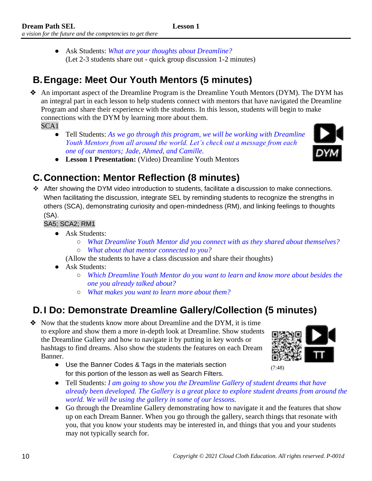● Ask Students: *What are your thoughts about Dreamline?* (Let 2-3 students share out - quick group discussion 1-2 minutes)

## **B.Engage: Meet Our Youth Mentors (5 minutes)**

❖ An important aspect of the Dreamline Program is the Dreamline Youth Mentors (DYM). The DYM has an integral part in each lesson to help students connect with mentors that have navigated the Dreamline Program and share their experience with the students. In this lesson, students will begin to make connections with the DYM by learning more about them.

SCA1

● Tell Students: *As we go through this program, we will be working with Dreamline Youth Mentors from all around the world. Let's check out a message from each one of our mentors; Jade, Ahmed, and Camille.*



● **Lesson 1 Presentation:** (Video) Dreamline Youth Mentors

## **C.Connection: Mentor Reflection (8 minutes)**

❖ After showing the DYM video introduction to students, facilitate a discussion to make connections. When facilitating the discussion, integrate SEL by reminding students to recognize the strengths in others (SCA), demonstrating curiosity and open-mindedness (RM), and linking feelings to thoughts (SA).

#### SA5; SCA2; RM1

- Ask Students:
	- *What Dreamline Youth Mentor did you connect with as they shared about themselves?*  ○ *What about that mentor connected to you?*
	- (Allow the students to have a class discussion and share their thoughts)
- Ask Students:
	- *Which Dreamline Youth Mentor do you want to learn and know more about besides the one you already talked about?*
	- *What makes you want to learn more about them?*

## **D.I Do: Demonstrate Dreamline Gallery/Collection (5 minutes)**

❖ Now that the students know more about Dreamline and the DYM, it is time to explore and show them a more in-depth look at Dreamline. Show students the Dreamline Gallery and how to navigate it by putting in key words or hashtags to find dreams. Also show the students the features on each Dream Banner.



- Use the Banner Codes & Tags in the materials section for this portion of the lesson as well as Search Filters.
- Tell Students: *I am going to show you the Dreamline Gallery of student dreams that have already been developed. The Gallery is a great place to explore student dreams from around the world. We will be using the gallery in some of our lessons.*
- Go through the Dreamline Gallery demonstrating how to navigate it and the features that show up on each Dream Banner. When you go through the gallery, search things that resonate with you, that you know your students may be interested in, and things that you and your students may not typically search for.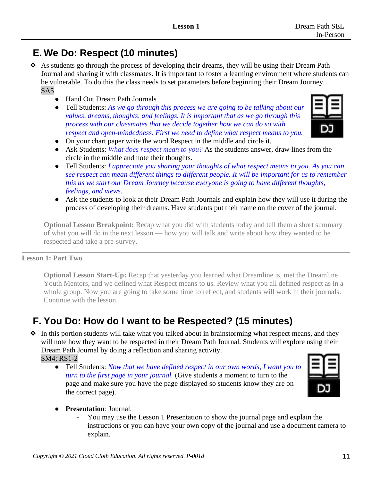### **E. We Do: Respect (10 minutes)**

- ❖ As students go through the process of developing their dreams, they will be using their Dream Path Journal and sharing it with classmates. It is important to foster a learning environment where students can be vulnerable. To do this the class needs to set parameters before beginning their Dream Journey. SA5
	- Hand Out Dream Path Journals
	- Tell Students: *As we go through this process we are going to be talking about our values, dreams, thoughts, and feelings. It is important that as we go through this process with our classmates that we decide together how we can do so with respect and open-mindedness. First we need to define what respect means to you.*



- On your chart paper write the word Respect in the middle and circle it.
- Ask Students: *What does respect mean to you?* As the students answer, draw lines from the circle in the middle and note their thoughts.
- Tell Students: *I appreciate you sharing your thoughts of what respect means to you. As you can see respect can mean different things to different people. It will be important for us to remember this as we start our Dream Journey because everyone is going to have different thoughts, feelings, and views.*
- Ask the students to look at their Dream Path Journals and explain how they will use it during the process of developing their dreams. Have students put their name on the cover of the journal.

**Optional Lesson Breakpoint:** Recap what you did with students today and tell them a short summary of what you will do in the next lesson –– how you will talk and write about how they wanted to be respected and take a pre-survey.

#### **Lesson 1: Part Two**

**Optional Lesson Start-Up:** Recap that yesterday you learned what Dreamline is, met the Dreamline Youth Mentors, and we defined what Respect means to us. Review what you all defined respect as in a whole group. Now you are going to take some time to reflect, and students will work in their journals. Continue with the lesson.

#### **F. You Do: How do I want to be Respected? (15 minutes)**

❖ In this portion students will take what you talked about in brainstorming what respect means, and they will note how they want to be respected in their Dream Path Journal. Students will explore using their Dream Path Journal by doing a reflection and sharing activity. SM4; RS1-2

● Tell Students: *Now that we have defined respect in our own words, I want you to turn to the first page in your journal.* (Give students a moment to turn to the page and make sure you have the page displayed so students know they are on the correct page).



- **Presentation**: Journal.
	- You may use the Lesson 1 Presentation to show the journal page and explain the instructions or you can have your own copy of the journal and use a document camera to explain.